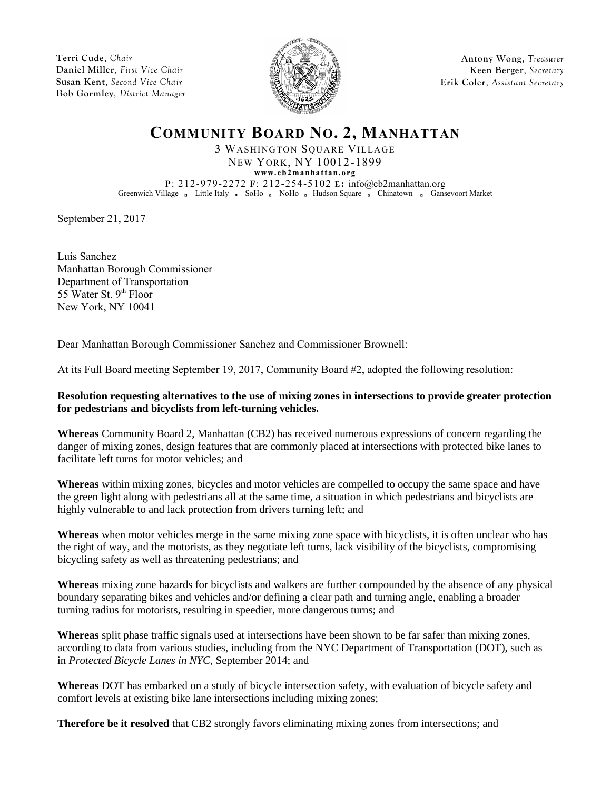**Terri Cude**, *Chair* **Daniel Miller**, *First Vice Chair* **Susan Kent**, *Second Vice Chair* **Bob Gormley**, *District Manager*



**Antony Wong**, *Treasurer* **Keen Berger**, *Secretary* **Erik Coler**, *Assistant Secretary*

## **COMMUNITY BOARD NO. 2, MANHATTAN**

3 WASHINGTON SQUARE VILLAGE NEW YORK, NY 10012-1899

**www.c b2 ma nha t ta n.o rg**

**P**: 212-979-2272 **F**: 212-254-5102 **E:** info@cb2manhattan.org Greenwich Village Buttle Italy BoHo NoHo Hudson Square Ghinatown Gansevoort Market

September 21, 2017

Luis Sanchez Manhattan Borough Commissioner Department of Transportation 55 Water St. 9<sup>th</sup> Floor New York, NY 10041

Dear Manhattan Borough Commissioner Sanchez and Commissioner Brownell:

At its Full Board meeting September 19, 2017, Community Board #2, adopted the following resolution:

## **Resolution requesting alternatives to the use of mixing zones in intersections to provide greater protection for pedestrians and bicyclists from left-turning vehicles.**

**Whereas** Community Board 2, Manhattan (CB2) has received numerous expressions of concern regarding the danger of mixing zones, design features that are commonly placed at intersections with protected bike lanes to facilitate left turns for motor vehicles; and

**Whereas** within mixing zones, bicycles and motor vehicles are compelled to occupy the same space and have the green light along with pedestrians all at the same time, a situation in which pedestrians and bicyclists are highly vulnerable to and lack protection from drivers turning left; and

**Whereas** when motor vehicles merge in the same mixing zone space with bicyclists, it is often unclear who has the right of way, and the motorists, as they negotiate left turns, lack visibility of the bicyclists, compromising bicycling safety as well as threatening pedestrians; and

**Whereas** mixing zone hazards for bicyclists and walkers are further compounded by the absence of any physical boundary separating bikes and vehicles and/or defining a clear path and turning angle, enabling a broader turning radius for motorists, resulting in speedier, more dangerous turns; and

**Whereas** split phase traffic signals used at intersections have been shown to be far safer than mixing zones, according to data from various studies, including from the NYC Department of Transportation (DOT), such as in *Protected Bicycle Lanes in NYC*, September 2014; and

**Whereas** DOT has embarked on a study of bicycle intersection safety, with evaluation of bicycle safety and comfort levels at existing bike lane intersections including mixing zones;

**Therefore be it resolved** that CB2 strongly favors eliminating mixing zones from intersections; and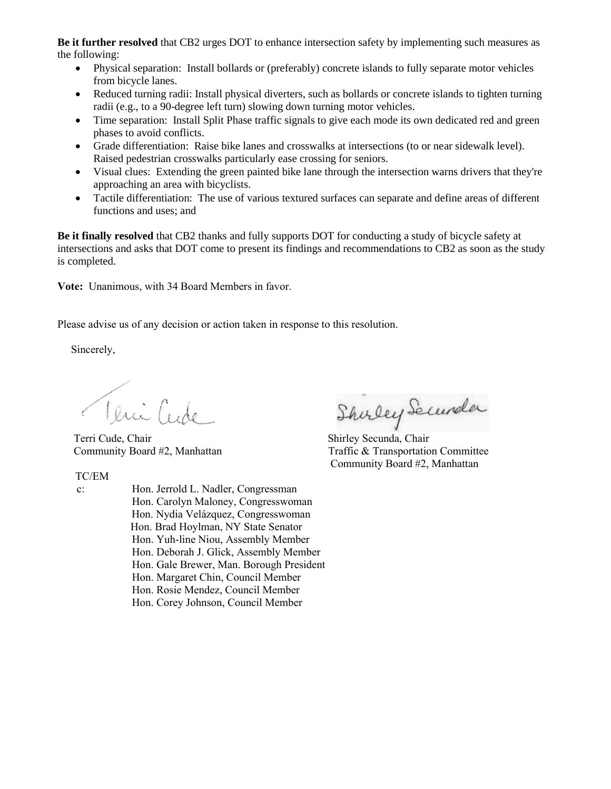**Be it further resolved** that CB2 urges DOT to enhance intersection safety by implementing such measures as the following:

- Physical separation: Install bollards or (preferably) concrete islands to fully separate motor vehicles from bicycle lanes.
- Reduced turning radii: Install physical diverters, such as bollards or concrete islands to tighten turning radii (e.g., to a 90-degree left turn) slowing down turning motor vehicles.
- Time separation: Install Split Phase traffic signals to give each mode its own dedicated red and green phases to avoid conflicts.
- Grade differentiation: Raise bike lanes and crosswalks at intersections (to or near sidewalk level). Raised pedestrian crosswalks particularly ease crossing for seniors.
- Visual clues: Extending the green painted bike lane through the intersection warns drivers that they're approaching an area with bicyclists.
- Tactile differentiation: The use of various textured surfaces can separate and define areas of different functions and uses; and

**Be it finally resolved** that CB2 thanks and fully supports DOT for conducting a study of bicycle safety at intersections and asks that DOT come to present its findings and recommendations to CB2 as soon as the study is completed.

**Vote:** Unanimous, with 34 Board Members in favor.

Please advise us of any decision or action taken in response to this resolution.

Sincerely,

Teni Cude

Terri Cude, Chair Shirley Secunda, Chair

TC/EM

- 
- c: Hon. Jerrold L. Nadler, Congressman Hon. Carolyn Maloney, Congresswoman Hon. Nydia Velázquez, Congresswoman Hon. Brad Hoylman, NY State Senator Hon. Yuh-line Niou, Assembly Member Hon. Deborah J. Glick, Assembly Member Hon. Gale Brewer, Man. Borough President Hon. Margaret Chin, Council Member Hon. Rosie Mendez, Council Member Hon. Corey Johnson, Council Member

Shirley Securela

Community Board #2, Manhattan Traffic & Transportation Committee Community Board #2, Manhattan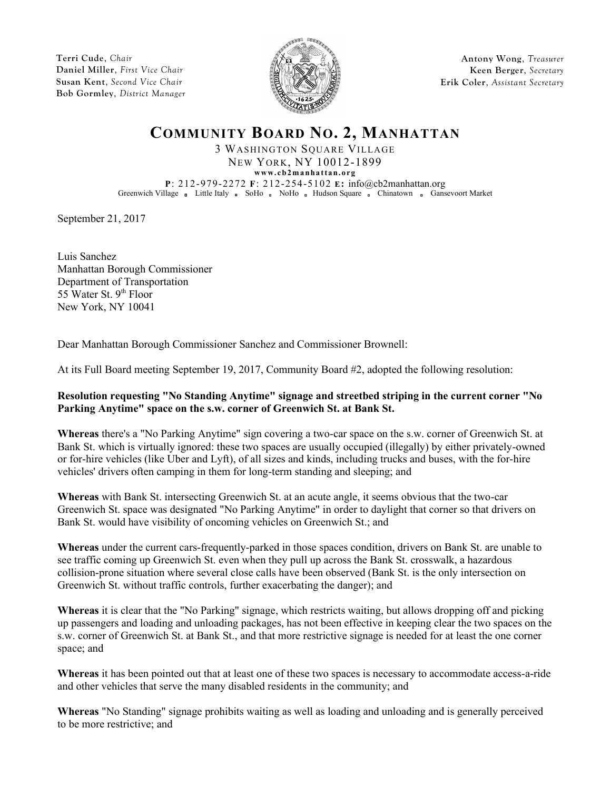**Terri Cude**, *Chair* **Daniel Miller**, *First Vice Chair* **Susan Kent**, *Second Vice Chair* **Bob Gormley**, *District Manager*



**Antony Wong**, *Treasurer* **Keen Berger**, *Secretary* **Erik Coler**, *Assistant Secretary*

## **COMMUNITY BOARD NO. 2, MANHATTAN**

3 WASHINGTON SQUARE VILLAGE NEW YORK, NY 10012-1899

**www.c b2 ma nha t ta n.o rg**

**P**: 212-979-2272 **F**: 212-254-5102 **E:** info@cb2manhattan.org Greenwich Village a Little Italy a SoHo a NoHo a Hudson Square a Chinatown a Gansevoort Market

September 21, 2017

Luis Sanchez Manhattan Borough Commissioner Department of Transportation 55 Water St. 9<sup>th</sup> Floor New York, NY 10041

Dear Manhattan Borough Commissioner Sanchez and Commissioner Brownell:

At its Full Board meeting September 19, 2017, Community Board #2, adopted the following resolution:

## **Resolution requesting "No Standing Anytime" signage and streetbed striping in the current corner "No Parking Anytime" space on the s.w. corner of Greenwich St. at Bank St.**

**Whereas** there's a "No Parking Anytime" sign covering a two-car space on the s.w. corner of Greenwich St. at Bank St. which is virtually ignored: these two spaces are usually occupied (illegally) by either privately-owned or for-hire vehicles (like Uber and Lyft), of all sizes and kinds, including trucks and buses, with the for-hire vehicles' drivers often camping in them for long-term standing and sleeping; and

**Whereas** with Bank St. intersecting Greenwich St. at an acute angle, it seems obvious that the two-car Greenwich St. space was designated "No Parking Anytime" in order to daylight that corner so that drivers on Bank St. would have visibility of oncoming vehicles on Greenwich St.; and

**Whereas** under the current cars-frequently-parked in those spaces condition, drivers on Bank St. are unable to see traffic coming up Greenwich St. even when they pull up across the Bank St. crosswalk, a hazardous collision-prone situation where several close calls have been observed (Bank St. is the only intersection on Greenwich St. without traffic controls, further exacerbating the danger); and

**Whereas** it is clear that the "No Parking" signage, which restricts waiting, but allows dropping off and picking up passengers and loading and unloading packages, has not been effective in keeping clear the two spaces on the s.w. corner of Greenwich St. at Bank St., and that more restrictive signage is needed for at least the one corner space; and

**Whereas** it has been pointed out that at least one of these two spaces is necessary to accommodate access-a-ride and other vehicles that serve the many disabled residents in the community; and

**Whereas** "No Standing" signage prohibits waiting as well as loading and unloading and is generally perceived to be more restrictive; and